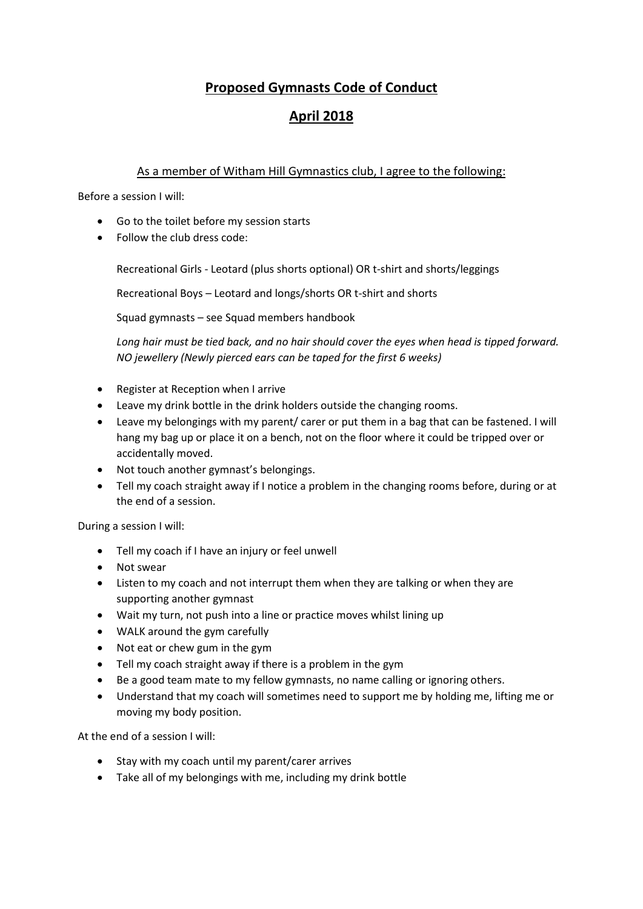### **Proposed Gymnasts Code of Conduct**

# **April 2018**

#### As a member of Witham Hill Gymnastics club, I agree to the following:

Before a session I will:

- Go to the toilet before my session starts
- Follow the club dress code:

Recreational Girls - Leotard (plus shorts optional) OR t-shirt and shorts/leggings

Recreational Boys – Leotard and longs/shorts OR t-shirt and shorts

Squad gymnasts – see Squad members handbook

*Long hair must be tied back, and no hair should cover the eyes when head is tipped forward. NO jewellery (Newly pierced ears can be taped for the first 6 weeks)* 

- Register at Reception when I arrive
- Leave my drink bottle in the drink holders outside the changing rooms.
- Leave my belongings with my parent/ carer or put them in a bag that can be fastened. I will hang my bag up or place it on a bench, not on the floor where it could be tripped over or accidentally moved.
- Not touch another gymnast's belongings.
- Tell my coach straight away if I notice a problem in the changing rooms before, during or at the end of a session.

During a session I will:

- Tell my coach if I have an injury or feel unwell
- Not swear
- Listen to my coach and not interrupt them when they are talking or when they are supporting another gymnast
- Wait my turn, not push into a line or practice moves whilst lining up
- WALK around the gym carefully
- Not eat or chew gum in the gym
- Tell my coach straight away if there is a problem in the gym
- Be a good team mate to my fellow gymnasts, no name calling or ignoring others.
- Understand that my coach will sometimes need to support me by holding me, lifting me or moving my body position.

At the end of a session I will:

- Stay with my coach until my parent/carer arrives
- Take all of my belongings with me, including my drink bottle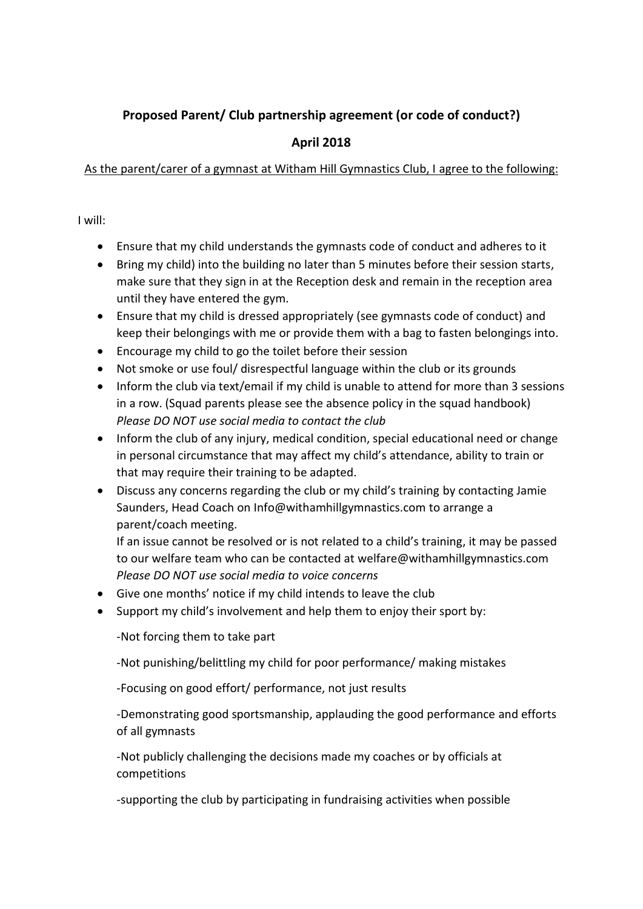## **Proposed Parent/ Club partnership agreement (or code of conduct?)**

## **April 2018**

#### As the parent/carer of a gymnast at Witham Hill Gymnastics Club, I agree to the following:

I will:

- Ensure that my child understands the gymnasts code of conduct and adheres to it
- Bring my child) into the building no later than 5 minutes before their session starts, make sure that they sign in at the Reception desk and remain in the reception area until they have entered the gym.
- Ensure that my child is dressed appropriately (see gymnasts code of conduct) and keep their belongings with me or provide them with a bag to fasten belongings into.
- Encourage my child to go the toilet before their session
- Not smoke or use foul/ disrespectful language within the club or its grounds
- Inform the club via text/email if my child is unable to attend for more than 3 sessions in a row. (Squad parents please see the absence policy in the squad handbook) *Please DO NOT use social media to contact the club*
- Inform the club of any injury, medical condition, special educational need or change in personal circumstance that may affect my child's attendance, ability to train or that may require their training to be adapted.
- Discuss any concerns regarding the club or my child's training by contacting Jamie Saunders, Head Coach on [Info@withamhillgymnastics.com](mailto:Info@withamhillgymnastics.com) to arrange a parent/coach meeting.

If an issue cannot be resolved or is not related to a child's training, it may be passed to our welfare team who can be contacted at [welfare@withamhillgymnastics.com](mailto:welfare@withamhillgymnastics.com) *Please DO NOT use social media to voice concerns*

- Give one months' notice if my child intends to leave the club
- Support my child's involvement and help them to enjoy their sport by:

-Not forcing them to take part

-Not punishing/belittling my child for poor performance/ making mistakes

-Focusing on good effort/ performance, not just results

-Demonstrating good sportsmanship, applauding the good performance and efforts of all gymnasts

-Not publicly challenging the decisions made my coaches or by officials at competitions

-supporting the club by participating in fundraising activities when possible